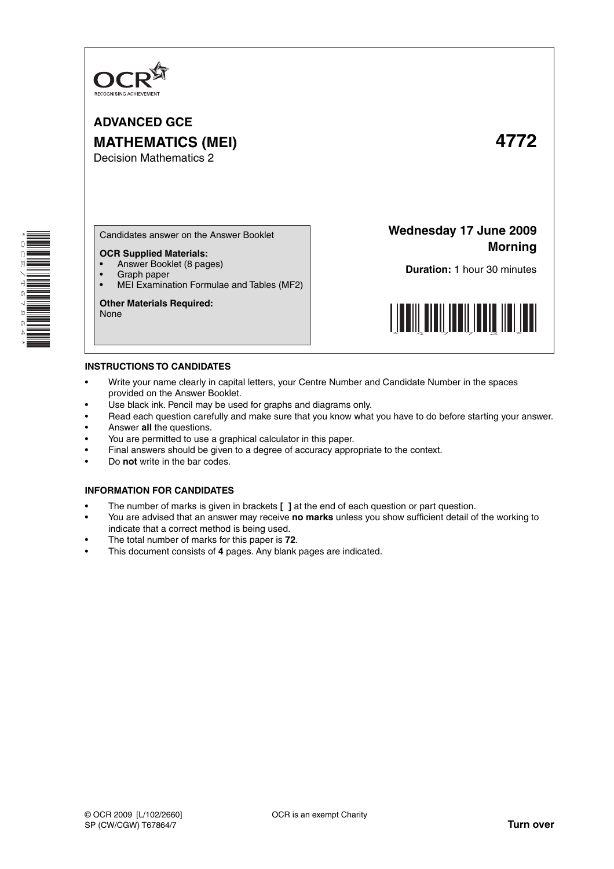

**ADVANCED GCE MATHEMATICS (MEI) 4772** Decision Mathematics 2



Candidates answer on the Answer Booklet

## **OCR Supplied Materials:**

- Answer Booklet (8 pages)
- Graph paper<br>• MELExaming
- MEI Examination Formulae and Tables (MF2)

**Other Materials Required:** None

**Wednesday 17 June 2009 Morning**

**Duration:** 1 hour 30 minutes



## **INSTRUCTIONS TO CANDIDATES**

- Write your name clearly in capital letters, your Centre Number and Candidate Number in the spaces provided on the Answer Booklet.
- Use black ink. Pencil may be used for graphs and diagrams only.
- Read each question carefully and make sure that you know what you have to do before starting your answer.
- Answer **all** the questions.
- You are permitted to use a graphical calculator in this paper.
- Final answers should be given to a degree of accuracy appropriate to the context.
- Do **not** write in the bar codes.

## **INFORMATION FOR CANDIDATES**

- The number of marks is given in brackets **[ ]** at the end of each question or part question.
- You are advised that an answer may receive **no marks** unless you show sufficient detail of the working to indicate that a correct method is being used.
- The total number of marks for this paper is **72**.
- This document consists of **4** pages. Any blank pages are indicated.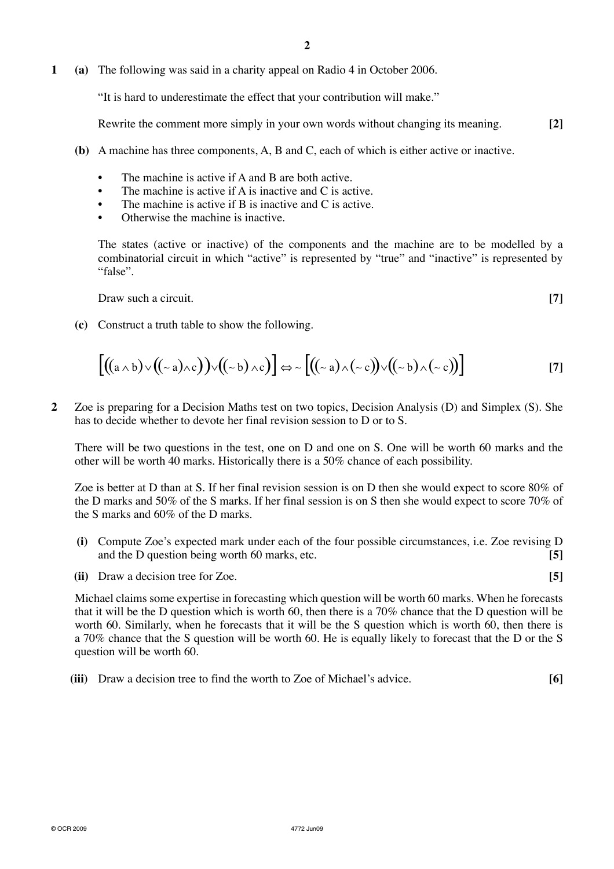**1 (a)** The following was said in a charity appeal on Radio 4 in October 2006.

"It is hard to underestimate the effect that your contribution will make."

Rewrite the comment more simply in your own words without changing its meaning. **[2]**

- **(b)** A machine has three components, A, B and C, each of which is either active or inactive.
	- The machine is active if A and B are both active.
	- The machine is active if A is inactive and C is active.
	- The machine is active if B is inactive and C is active.
	- **Otherwise the machine is inactive.**

The states (active or inactive) of the components and the machine are to be modelled by a combinatorial circuit in which "active" is represented by "true" and "inactive" is represented by "false".

**Draw such a circuit. [7]**  *<b>Draw such a circuit.* 

 **(c)** Construct a truth table to show the following.

$$
\left[\left((a \wedge b)\vee((\sim a)\wedge c)\right)\vee((\sim b)\wedge c)\right]\Leftrightarrow \sim \left[\left((\sim a)\wedge(\sim c)\right)\vee((\sim b)\wedge(\sim c)\right)\right]
$$
\n[7]

**2** Zoe is preparing for a Decision Maths test on two topics, Decision Analysis (D) and Simplex (S). She has to decide whether to devote her final revision session to D or to S.

There will be two questions in the test, one on D and one on S. One will be worth 60 marks and the other will be worth 40 marks. Historically there is a 50% chance of each possibility.

Zoe is better at D than at S. If her final revision session is on D then she would expect to score 80% of the D marks and 50% of the S marks. If her final session is on S then she would expect to score 70% of the S marks and 60% of the D marks.

- **(i)** Compute Zoe's expected mark under each of the four possible circumstances, i.e. Zoe revising D and the D question being worth 60 marks, etc. **[5]**
- **(ii)** Draw a decision tree for Zoe. **[5]**

Michael claims some expertise in forecasting which question will be worth 60 marks. When he forecasts that it will be the D question which is worth 60, then there is a 70% chance that the D question will be worth 60. Similarly, when he forecasts that it will be the S question which is worth 60, then there is a 70% chance that the S question will be worth 60. He is equally likely to forecast that the D or the S question will be worth 60.

 **(iii)** Draw a decision tree to find the worth to Zoe of Michael's advice. **[6]**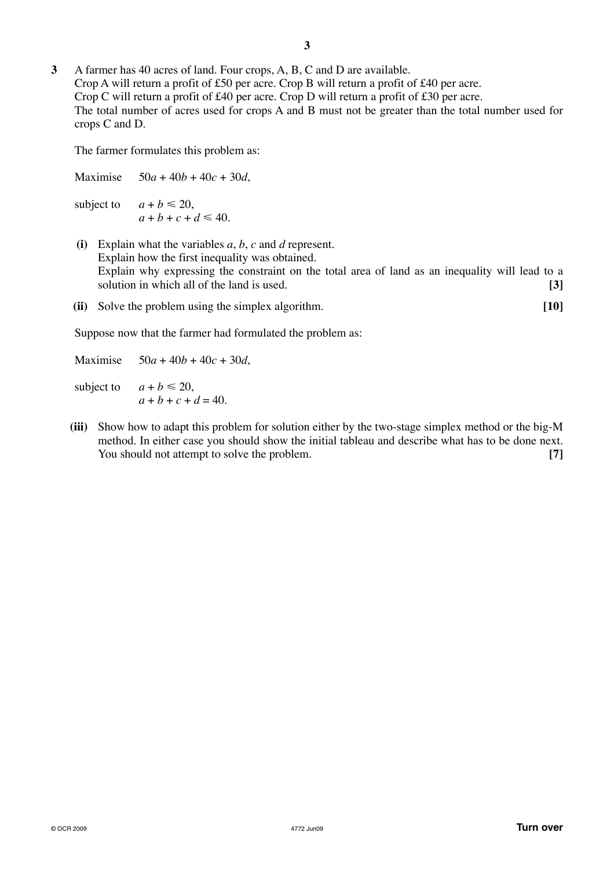**3** A farmer has 40 acres of land. Four crops, A, B, C and D are available. Crop A will return a profit of £50 per acre. Crop B will return a profit of £40 per acre. Crop C will return a profit of £40 per acre. Crop D will return a profit of £30 per acre. The total number of acres used for crops A and B must not be greater than the total number used for crops C and D.

The farmer formulates this problem as:

Maximise 50*a* + 40*b* + 40*c* + 30*d*, subject to  $a + b \leq 20$ ,  $a + b + c + d \le 40$ .  **(i)** Explain what the variables *a*, *b*, *c* and *d* represent. Explain how the first inequality was obtained. Explain why expressing the constraint on the total area of land as an inequality will lead to a solution in which all of the land is used. **[3]** 

 **(ii)** Solve the problem using the simplex algorithm. **[10]**

Suppose now that the farmer had formulated the problem as:

Maximise 50*a* + 40*b* + 40*c* + 30*d*,

- subject to  $a + b \leq 20$ ,  $a + b + c + d = 40.$
- **(iii)** Show how to adapt this problem for solution either by the two-stage simplex method or the big-M method. In either case you should show the initial tableau and describe what has to be done next. You should not attempt to solve the problem. **[7]**